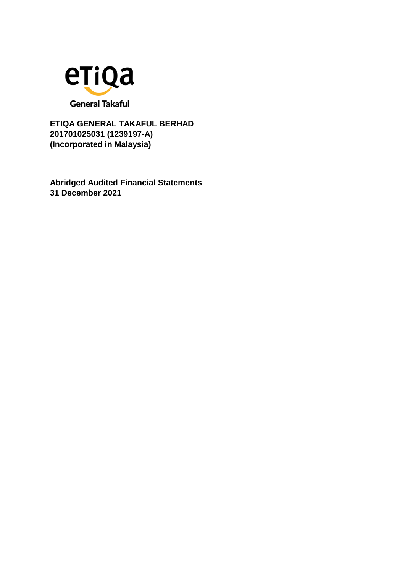

**Abridged Audited Financial Statements 31 December 2021**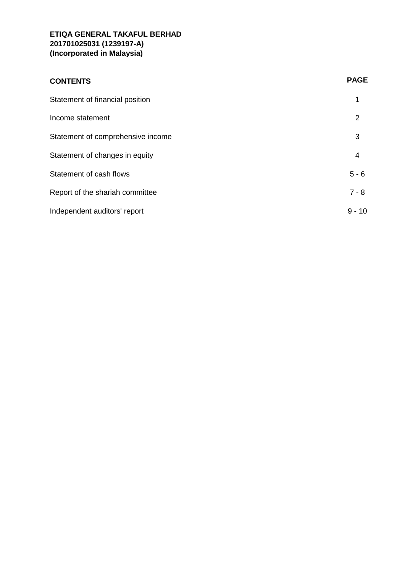| <b>CONTENTS</b>                   | <b>PAGE</b> |
|-----------------------------------|-------------|
| Statement of financial position   | 1           |
| Income statement                  | 2           |
| Statement of comprehensive income | 3           |
| Statement of changes in equity    | 4           |
| Statement of cash flows           | $5 - 6$     |
| Report of the shariah committee   | $7 - 8$     |
| Independent auditors' report      | $9 - 10$    |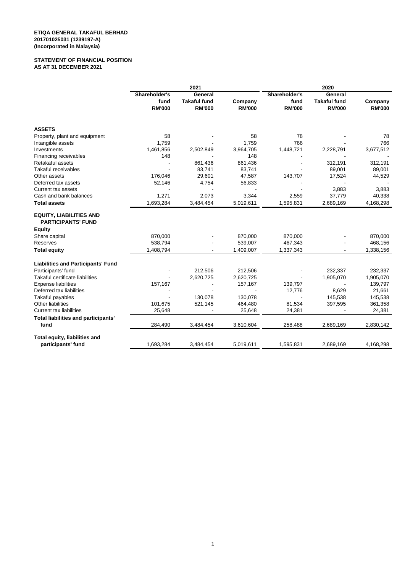#### **STATEMENT OF FINANCIAL POSITION AS AT 31 DECEMBER 2021**

|                                                             | 2021          |                     |               | 2020          |                     |               |
|-------------------------------------------------------------|---------------|---------------------|---------------|---------------|---------------------|---------------|
|                                                             | Shareholder's | General             |               | Shareholder's | General             |               |
|                                                             | fund          | <b>Takaful fund</b> | Company       | fund          | <b>Takaful fund</b> | Company       |
|                                                             | <b>RM'000</b> | <b>RM'000</b>       | <b>RM'000</b> | <b>RM'000</b> | <b>RM'000</b>       | <b>RM'000</b> |
| <b>ASSETS</b>                                               |               |                     |               |               |                     |               |
| Property, plant and equipment                               | 58            |                     | 58            | 78            |                     | 78            |
| Intangible assets                                           | 1,759         |                     | 1,759         | 766           |                     | 766           |
| Investments                                                 | 1,461,856     | 2,502,849           | 3,964,705     | 1,448,721     | 2,228,791           | 3,677,512     |
| Financing receivables                                       | 148           |                     | 148           |               |                     |               |
| Retakaful assets                                            |               | 861,436             | 861,436       |               | 312,191             | 312,191       |
| <b>Takaful receivables</b>                                  |               | 83,741              | 83,741        |               | 89,001              | 89,001        |
| Other assets                                                | 176,046       | 29,601              | 47,587        | 143,707       | 17,524              | 44,529        |
| Deferred tax assets                                         | 52,146        | 4,754               | 56,833        |               |                     |               |
| Current tax assets                                          |               |                     |               |               | 3,883               | 3,883         |
| Cash and bank balances                                      | 1,271         | 2,073               | 3,344         | 2,559         | 37,779              | 40,338        |
| <b>Total assets</b>                                         | 1,693,284     | 3,484,454           | 5,019,611     | 1,595,831     | 2,689,169           | 4,168,298     |
| <b>EQUITY, LIABILITIES AND</b><br><b>PARTICIPANTS' FUND</b> |               |                     |               |               |                     |               |
| <b>Equity</b>                                               |               |                     |               |               |                     |               |
| Share capital                                               | 870,000       |                     | 870,000       | 870,000       |                     | 870,000       |
| Reserves                                                    | 538,794       |                     | 539,007       | 467,343       |                     | 468,156       |
| <b>Total equity</b>                                         | 1,408,794     | ÷.                  | 1,409,007     | 1,337,343     |                     | 1,338,156     |
| <b>Liabilities and Participants' Fund</b>                   |               |                     |               |               |                     |               |
| Participants' fund                                          |               | 212,506             | 212,506       |               | 232,337             | 232,337       |
| Takaful certificate liabilities                             |               | 2,620,725           | 2,620,725     |               | 1,905,070           | 1,905,070     |
| <b>Expense liabilities</b>                                  | 157,167       |                     | 157,167       | 139,797       |                     | 139,797       |
| Deferred tax liabilities                                    |               |                     |               | 12,776        | 8,629               | 21,661        |
| Takaful payables                                            |               | 130,078             | 130,078       |               | 145,538             | 145,538       |
| Other liabilities                                           | 101,675       | 521,145             | 464,480       | 81,534        | 397,595             | 361,358       |
| <b>Current tax liabilities</b>                              | 25,648        |                     | 25,648        | 24,381        |                     | 24,381        |
| Total liabilities and participants'                         |               |                     |               |               |                     |               |
| fund                                                        | 284,490       | 3,484,454           | 3,610,604     | 258,488       | 2,689,169           | 2,830,142     |
| Total equity, liabilities and                               |               |                     |               |               |                     |               |
| participants' fund                                          | 1,693,284     | 3,484,454           | 5,019,611     | 1,595,831     | 2,689,169           | 4,168,298     |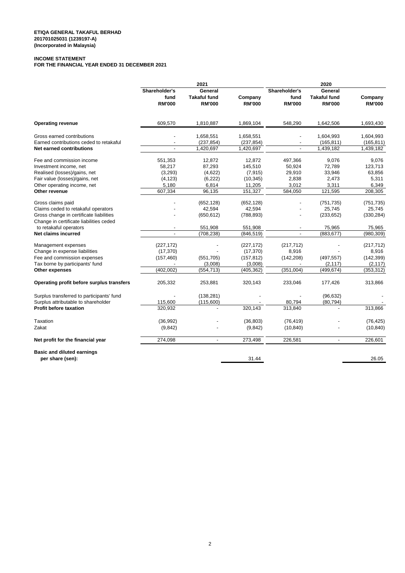### **INCOME STATEMENT**

**FOR THE FINANCIAL YEAR ENDED 31 DECEMBER 2021**

|                                                       | 2021                     |                                      |                          | 2020                     |                                      |                          |
|-------------------------------------------------------|--------------------------|--------------------------------------|--------------------------|--------------------------|--------------------------------------|--------------------------|
|                                                       | Shareholder's<br>General |                                      | Shareholder's            | General                  |                                      |                          |
|                                                       | fund<br><b>RM'000</b>    | <b>Takaful fund</b><br><b>RM'000</b> | Company<br><b>RM'000</b> | fund<br><b>RM'000</b>    | <b>Takaful fund</b><br><b>RM'000</b> | Company<br><b>RM'000</b> |
| <b>Operating revenue</b>                              | 609,570                  | 1,810,887                            | 1,869,104                | 548,290                  | 1,642,506                            | 1,693,430                |
| Gross earned contributions                            |                          | 1,658,551                            | 1,658,551                |                          | 1,604,993                            | 1,604,993                |
| Earned contributions ceded to retakaful               |                          | (237, 854)                           | (237, 854)               | $\overline{\phantom{a}}$ | (165, 811)                           | (165, 811)               |
| <b>Net earned contributions</b>                       |                          | 1,420,697                            | 1,420,697                | $\overline{a}$           | 1,439,182                            | 1,439,182                |
| Fee and commission income                             | 551,353                  | 12,872                               | 12,872                   | 497,366                  | 9,076                                | 9,076                    |
| Investment income, net                                | 58,217                   | 87,293                               | 145,510                  | 50,924                   | 72,789                               | 123,713                  |
| Realised (losses)/gains, net                          | (3,293)                  | (4,622)                              | (7, 915)                 | 29,910                   | 33,946                               | 63,856                   |
| Fair value (losses)/gains, net                        | (4, 123)                 | (6, 222)                             | (10, 345)                | 2,838                    | 2,473                                | 5,311                    |
| Other operating income, net                           | 5,180                    | 6,814                                | 11,205                   | 3,012                    | 3,311                                | 6,349                    |
| Other revenue                                         | 607,334                  | 96,135                               | 151,327                  | 584,050                  | 121,595                              | 208,305                  |
| Gross claims paid                                     |                          | (652, 128)                           | (652, 128)               |                          | (751, 735)                           | (751, 735)               |
| Claims ceded to retakaful operators                   |                          | 42,594                               | 42,594                   |                          | 25,745                               | 25,745                   |
| Gross change in certificate liabilities               |                          | (650, 612)                           | (788, 893)               |                          | (233, 652)                           | (330, 284)               |
| Change in certificate liabilities ceded               |                          |                                      |                          |                          |                                      |                          |
| to retakaful operators                                |                          | 551,908                              | 551,908                  |                          | 75,965                               | 75,965                   |
| Net claims incurred                                   |                          | (708, 238)                           | (846, 519)               |                          | (883, 677)                           | (980, 309)               |
| Management expenses                                   | (227, 172)               |                                      | (227, 172)               | (217, 712)               |                                      | (217, 712)               |
| Change in expense liabilities                         | (17, 370)                |                                      | (17, 370)                | 8,916                    |                                      | 8,916                    |
| Fee and commission expenses                           | (157, 460)               | (551, 705)                           | (157, 812)               | (142, 208)               | (497, 557)                           | (142, 399)               |
| Tax borne by participants' fund                       |                          | (3,008)                              | (3,008)                  |                          | (2, 117)                             | (2, 117)                 |
| Other expenses                                        | (402, 002)               | (554, 713)                           | (405, 362)               | (351,004)                | (499, 674)                           | (353, 312)               |
| Operating profit before surplus transfers             | 205,332                  | 253,881                              | 320,143                  | 233,046                  | 177,426                              | 313,866                  |
| Surplus transferred to participants' fund             |                          | (138, 281)                           |                          |                          | (96, 632)                            |                          |
| Surplus attributable to shareholder                   | 115,600                  | (115,600)                            |                          | 80,794                   | (80, 794)                            |                          |
| <b>Profit before taxation</b>                         | 320,932                  |                                      | 320,143                  | 313,840                  |                                      | 313,866                  |
| Taxation                                              | (36,992)                 |                                      | (36, 803)                | (76, 419)                |                                      | (76, 425)                |
| Zakat                                                 | (9, 842)                 |                                      | (9, 842)                 | (10, 840)                |                                      | (10, 840)                |
| Net profit for the financial year                     | 274,098                  | $\overline{\phantom{a}}$             | 273,498                  | 226,581                  | $\overline{\phantom{a}}$             | 226,601                  |
| <b>Basic and diluted earnings</b><br>per share (sen): |                          |                                      | 31.44                    |                          |                                      | 26.05                    |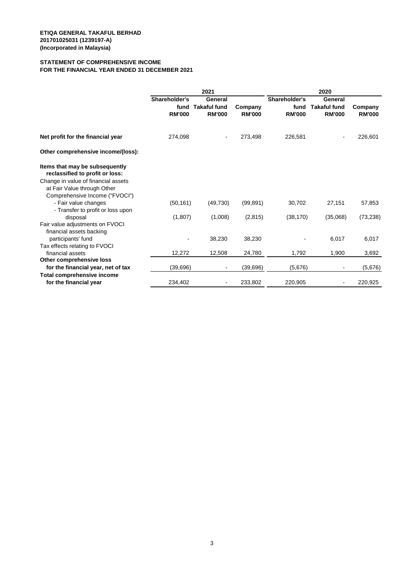#### **STATEMENT OF COMPREHENSIVE INCOME FOR THE FINANCIAL YEAR ENDED 31 DECEMBER 2021**

|                                                                                                                                                                                                                                        | 2021                                   |                                                 |                          |                                        | 2020                                            |                          |
|----------------------------------------------------------------------------------------------------------------------------------------------------------------------------------------------------------------------------------------|----------------------------------------|-------------------------------------------------|--------------------------|----------------------------------------|-------------------------------------------------|--------------------------|
|                                                                                                                                                                                                                                        | Shareholder's<br>fund<br><b>RM'000</b> | General<br><b>Takaful fund</b><br><b>RM'000</b> | Company<br><b>RM'000</b> | Shareholder's<br>fund<br><b>RM'000</b> | General<br><b>Takaful fund</b><br><b>RM'000</b> | Company<br><b>RM'000</b> |
| Net profit for the financial year                                                                                                                                                                                                      | 274,098                                |                                                 | 273,498                  | 226,581                                |                                                 | 226,601                  |
| Other comprehensive income/(loss):                                                                                                                                                                                                     |                                        |                                                 |                          |                                        |                                                 |                          |
| Items that may be subsequently<br>reclassified to profit or loss:<br>Change in value of financial assets<br>at Fair Value through Other<br>Comprehensive Income ("FVOCI")<br>- Fair value changes<br>- Transfer to profit or loss upon | (50, 161)                              | (49, 730)                                       | (99, 891)                | 30,702                                 | 27,151                                          | 57,853                   |
| disposal                                                                                                                                                                                                                               | (1,807)                                | (1,008)                                         | (2,815)                  | (38, 170)                              | (35,068)                                        | (73, 238)                |
| Fair value adjustments on FVOCI<br>financial assets backing<br>participants' fund<br>Tax effects relating to FVOCI                                                                                                                     |                                        | 38,230                                          | 38,230                   |                                        | 6,017                                           | 6,017                    |
| financial assets                                                                                                                                                                                                                       | 12,272                                 | 12,508                                          | 24,780                   | 1,792                                  | 1,900                                           | 3,692                    |
| Other comprehensive loss                                                                                                                                                                                                               |                                        |                                                 |                          |                                        |                                                 |                          |
| for the financial year, net of tax                                                                                                                                                                                                     | (39, 696)                              | ٠                                               | (39, 696)                | (5,676)                                | $\overline{\phantom{a}}$                        | (5,676)                  |
| <b>Total comprehensive income</b><br>for the financial year                                                                                                                                                                            | 234,402                                |                                                 | 233,802                  | 220,905                                | $\overline{\phantom{a}}$                        | 220,925                  |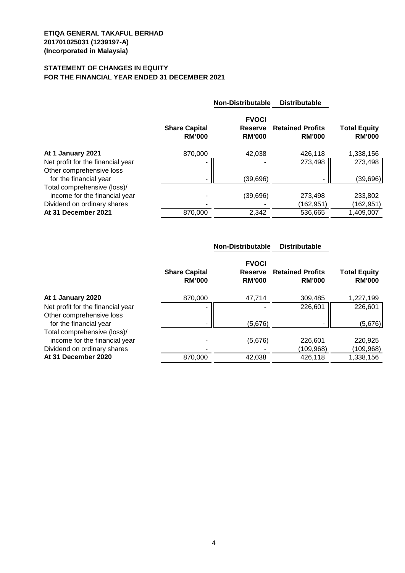## **STATEMENT OF CHANGES IN EQUITY FOR THE FINANCIAL YEAR ENDED 31 DECEMBER 2021**

|                                                    |                                       | <b>Non-Distributable</b>                 | <b>Distributable</b>                     |                                      |
|----------------------------------------------------|---------------------------------------|------------------------------------------|------------------------------------------|--------------------------------------|
|                                                    | <b>Share Capital</b><br><b>RM'000</b> | <b>FVOCI</b><br>Reserve<br><b>RM'000</b> | <b>Retained Profits</b><br><b>RM'000</b> | <b>Total Equity</b><br><b>RM'000</b> |
| At 1 January 2021                                  | 870,000                               | 42,038                                   | 426,118                                  | 1,338,156                            |
| Net profit for the financial year                  |                                       |                                          | 273,498                                  | 273,498                              |
| Other comprehensive loss<br>for the financial year |                                       | (39,696)                                 |                                          | (39, 696)                            |
| Total comprehensive (loss)/                        |                                       |                                          |                                          |                                      |
| income for the financial year                      |                                       | (39, 696)                                | 273,498                                  | 233,802                              |
| Dividend on ordinary shares                        |                                       |                                          | (162,951)                                | (162,951)                            |
| At 31 December 2021                                | 870.000                               | 2,342                                    | 536.665                                  | 1,409,007                            |

|                                                              |                                       | <b>Non-Distributable</b>                        | <b>Distributable</b>                     |                                      |
|--------------------------------------------------------------|---------------------------------------|-------------------------------------------------|------------------------------------------|--------------------------------------|
|                                                              | <b>Share Capital</b><br><b>RM'000</b> | <b>FVOCI</b><br><b>Reserve</b><br><b>RM'000</b> | <b>Retained Profits</b><br><b>RM'000</b> | <b>Total Equity</b><br><b>RM'000</b> |
| At 1 January 2020                                            | 870,000                               | 47,714                                          | 309,485                                  | 1,227,199                            |
| Net profit for the financial year                            |                                       |                                                 | 226,601                                  | 226,601                              |
| Other comprehensive loss<br>for the financial year           |                                       | (5,676)                                         |                                          | (5,676)                              |
| Total comprehensive (loss)/<br>income for the financial year |                                       | (5,676)                                         | 226,601                                  | 220,925                              |
| Dividend on ordinary shares                                  |                                       |                                                 | (109,968)                                | (109,968)                            |
| At 31 December 2020                                          | 870,000                               | 42,038                                          | 426,118                                  | 1,338,156                            |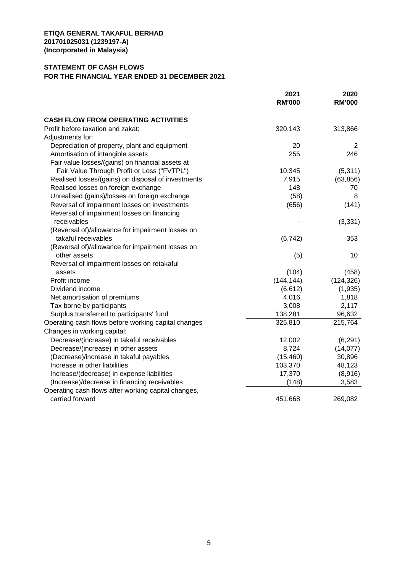### **STATEMENT OF CASH FLOWS**

## **FOR THE FINANCIAL YEAR ENDED 31 DECEMBER 2021**

|                                                     | 2021<br><b>RM'000</b> | 2020<br><b>RM'000</b> |
|-----------------------------------------------------|-----------------------|-----------------------|
|                                                     |                       |                       |
| <b>CASH FLOW FROM OPERATING ACTIVITIES</b>          |                       |                       |
| Profit before taxation and zakat:                   | 320,143               | 313,866               |
| Adjustments for:                                    |                       |                       |
| Depreciation of property, plant and equipment       | 20                    | 2                     |
| Amortisation of intangible assets                   | 255                   | 246                   |
| Fair value losses/(gains) on financial assets at    |                       |                       |
| Fair Value Through Profit or Loss ("FVTPL")         | 10,345                | (5, 311)              |
| Realised losses/(gains) on disposal of investments  | 7,915                 | (63, 856)             |
| Realised losses on foreign exchange                 | 148                   | 70                    |
| Unrealised (gains)/losses on foreign exchange       | (58)                  | 8                     |
| Reversal of impairment losses on investments        | (656)                 | (141)                 |
| Reversal of impairment losses on financing          |                       |                       |
| receivables                                         |                       | (3, 331)              |
| (Reversal of)/allowance for impairment losses on    |                       |                       |
| takaful receivables                                 | (6, 742)              | 353                   |
| (Reversal of)/allowance for impairment losses on    |                       |                       |
| other assets                                        | (5)                   | 10                    |
| Reversal of impairment losses on retakaful          |                       |                       |
| assets                                              | (104)                 | (458)                 |
| Profit income                                       | (144, 144)            | (124, 326)            |
| Dividend income                                     | (6, 612)              | (1,935)               |
| Net amortisation of premiums                        | 4,016                 | 1,818                 |
| Tax borne by participants                           | 3,008                 | 2,117                 |
| Surplus transferred to participants' fund           | 138,281               | 96,632                |
| Operating cash flows before working capital changes | 325,810               | 215,764               |
| Changes in working capital:                         |                       |                       |
| Decrease/(increase) in takaful receivables          | 12,002                | (6, 291)              |
| Decrease/(increase) in other assets                 | 8,724                 | (14, 077)             |
| (Decrease)/increase in takaful payables             | (15, 460)             | 30,896                |
| Increase in other liabilities                       | 103,370               | 48,123                |
| Increase/(decrease) in expense liabilities          | 17,370                | (8,916)               |
| (Increase)/decrease in financing receivables        | (148)                 | 3,583                 |
| Operating cash flows after working capital changes, |                       |                       |
| carried forward                                     | 451,668               | 269,082               |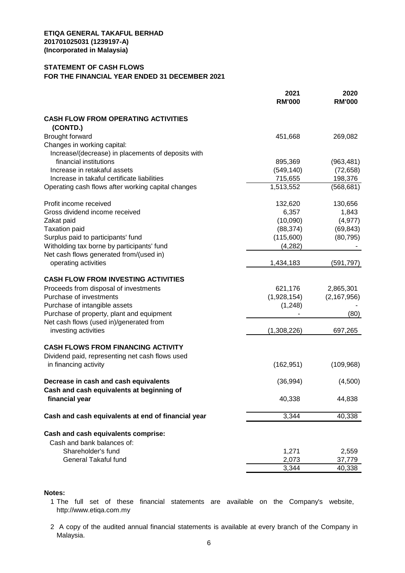### **STATEMENT OF CASH FLOWS**

#### **FOR THE FINANCIAL YEAR ENDED 31 DECEMBER 2021**

|                                                        | 2021<br><b>RM'000</b> | 2020<br><b>RM'000</b> |
|--------------------------------------------------------|-----------------------|-----------------------|
| <b>CASH FLOW FROM OPERATING ACTIVITIES</b><br>(CONTD.) |                       |                       |
| <b>Brought forward</b>                                 | 451,668               | 269,082               |
| Changes in working capital:                            |                       |                       |
| Increase/(decrease) in placements of deposits with     |                       |                       |
| financial institutions                                 | 895,369               | (963, 481)            |
| Increase in retakaful assets                           | (549, 140)            | (72, 658)             |
| Increase in takaful certificate liabilities            | 715,655               | 198,376               |
| Operating cash flows after working capital changes     | 1,513,552             | (568, 681)            |
| Profit income received                                 | 132,620               | 130,656               |
| Gross dividend income received                         | 6,357                 | 1,843                 |
| Zakat paid                                             | (10,090)              | (4, 977)              |
| <b>Taxation paid</b>                                   | (88, 374)             | (69, 843)             |
| Surplus paid to participants' fund                     | (115,600)             | (80, 795)             |
| Witholding tax borne by participants' fund             | (4, 282)              |                       |
| Net cash flows generated from/(used in)                |                       |                       |
| operating activities                                   | 1,434,183             | (591, 797)            |
|                                                        |                       |                       |
| <b>CASH FLOW FROM INVESTING ACTIVITIES</b>             |                       |                       |
| Proceeds from disposal of investments                  | 621,176               | 2,865,301             |
| Purchase of investments                                | (1,928,154)           | (2, 167, 956)         |
| Purchase of intangible assets                          | (1,248)               |                       |
| Purchase of property, plant and equipment              |                       | (80)                  |
| Net cash flows (used in)/generated from                |                       |                       |
| investing activities                                   | (1,308,226)           | 697,265               |
| <b>CASH FLOWS FROM FINANCING ACTIVITY</b>              |                       |                       |
| Dividend paid, representing net cash flows used        |                       |                       |
| in financing activity                                  | (162, 951)            | (109, 968)            |
| Decrease in cash and cash equivalents                  | (36, 994)             | (4,500)               |
| Cash and cash equivalents at beginning of              |                       |                       |
| financial year                                         | 40,338                | 44,838                |
| Cash and cash equivalents at end of financial year     | 3,344                 | 40,338                |
| Cash and cash equivalents comprise:                    |                       |                       |
| Cash and bank balances of:                             |                       |                       |
| Shareholder's fund                                     | 1,271                 | 2,559                 |
| <b>General Takaful fund</b>                            | 2,073                 | 37,779                |
|                                                        | 3,344                 | 40,338                |
|                                                        |                       |                       |

### **Notes:**

- 1 The full set of these financial statements are available on the Company's website, http://www.etiqa.com.my
- 2 A copy of the audited annual financial statements is available at every branch of the Company in Malaysia.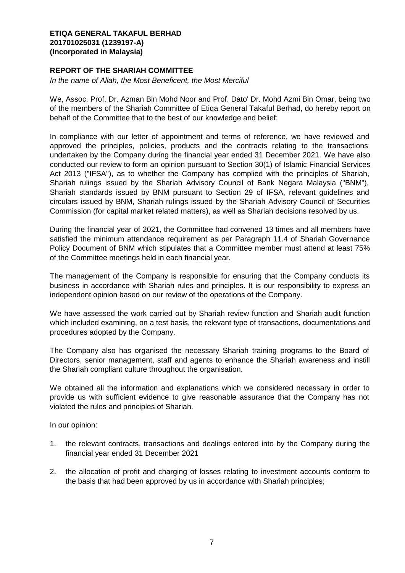## **REPORT OF THE SHARIAH COMMITTEE**

*In the name of Allah, the Most Beneficent, the Most Merciful*

We, Assoc. Prof. Dr. Azman Bin Mohd Noor and Prof. Dato' Dr. Mohd Azmi Bin Omar, being two of the members of the Shariah Committee of Etiqa General Takaful Berhad, do hereby report on behalf of the Committee that to the best of our knowledge and belief:

In compliance with our letter of appointment and terms of reference, we have reviewed and approved the principles, policies, products and the contracts relating to the transactions undertaken by the Company during the financial year ended 31 December 2021. We have also conducted our review to form an opinion pursuant to Section 30(1) of Islamic Financial Services Act 2013 ("IFSA"), as to whether the Company has complied with the principles of Shariah, Shariah rulings issued by the Shariah Advisory Council of Bank Negara Malaysia ("BNM"), Shariah standards issued by BNM pursuant to Section 29 of IFSA, relevant guidelines and circulars issued by BNM, Shariah rulings issued by the Shariah Advisory Council of Securities Commission (for capital market related matters), as well as Shariah decisions resolved by us.

During the financial year of 2021, the Committee had convened 13 times and all members have satisfied the minimum attendance requirement as per Paragraph 11.4 of Shariah Governance Policy Document of BNM which stipulates that a Committee member must attend at least 75% of the Committee meetings held in each financial year.

The management of the Company is responsible for ensuring that the Company conducts its business in accordance with Shariah rules and principles. It is our responsibility to express an independent opinion based on our review of the operations of the Company.

We have assessed the work carried out by Shariah review function and Shariah audit function which included examining, on a test basis, the relevant type of transactions, documentations and procedures adopted by the Company.

The Company also has organised the necessary Shariah training programs to the Board of Directors, senior management, staff and agents to enhance the Shariah awareness and instill the Shariah compliant culture throughout the organisation.

We obtained all the information and explanations which we considered necessary in order to provide us with sufficient evidence to give reasonable assurance that the Company has not violated the rules and principles of Shariah.

In our opinion:

- 1. the relevant contracts, transactions and dealings entered into by the Company during the financial year ended 31 December 2021
- 2. the allocation of profit and charging of losses relating to investment accounts conform to the basis that had been approved by us in accordance with Shariah principles;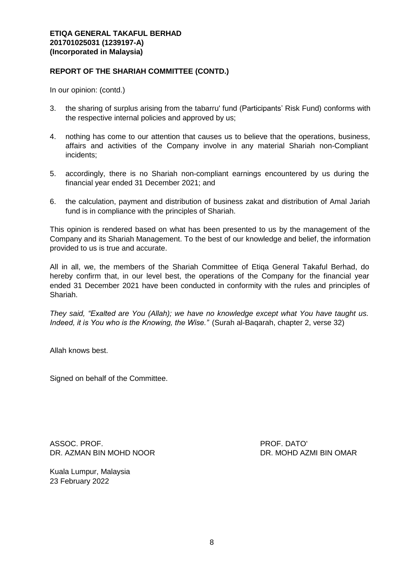### **REPORT OF THE SHARIAH COMMITTEE (CONTD.)**

In our opinion: (contd.)

- 3. the sharing of surplus arising from the tabarru' fund (Participants' Risk Fund) conforms with the respective internal policies and approved by us;
- 4. nothing has come to our attention that causes us to believe that the operations, business, affairs and activities of the Company involve in any material Shariah non-Compliant incidents;
- 5. accordingly, there is no Shariah non-compliant earnings encountered by us during the financial year ended 31 December 2021; and
- 6. the calculation, payment and distribution of business zakat and distribution of Amal Jariah fund is in compliance with the principles of Shariah.

This opinion is rendered based on what has been presented to us by the management of the Company and its Shariah Management. To the best of our knowledge and belief, the information provided to us is true and accurate.

All in all, we, the members of the Shariah Committee of Etiqa General Takaful Berhad, do hereby confirm that, in our level best, the operations of the Company for the financial year ended 31 December 2021 have been conducted in conformity with the rules and principles of Shariah.

*They said, "Exalted are You (Allah); we have no knowledge except what You have taught us. Indeed, it is You who is the Knowing, the Wise."* (Surah al-Baqarah, chapter 2, verse 32)

Allah knows best.

Signed on behalf of the Committee.

ASSOC. PROF. PROF. DATO' DR. AZMAN BIN MOHD NOOR DR. MOHD AZMI BIN OMAR

Kuala Lumpur, Malaysia 23 February 2022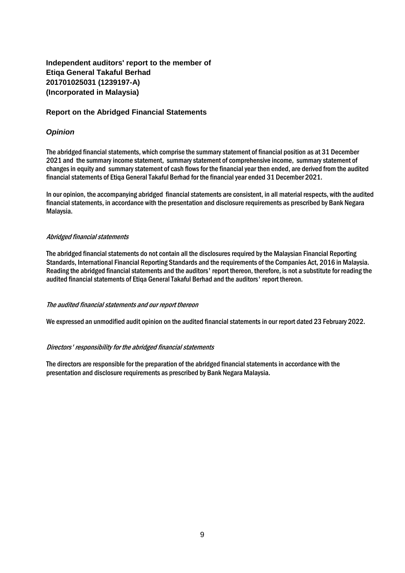# **Independent auditors' report to the member of Etiqa General Takaful Berhad 201701025031 (1239197-A) (Incorporated in Malaysia)**

### **Report on the Abridged Financial Statements**

### *Opinion*

The abridged financial statements, which comprise the summary statement of financial position as at 31 December 2021 and the summary income statement, summary statement of comprehensive income, summary statement of changes in equity and summary statement of cash flows for the financial year then ended, are derived from the audited financial statements of Etiqa General Takaful Berhad for the financial year ended 31 December 2021.

In our opinion, the accompanying abridged financial statements are consistent, in all material respects, with the audited financial statements, in accordance with the presentation and disclosure requirements as prescribed by Bank Negara Malaysia.

### Abridged financial statements

The abridged financial statements do not contain all the disclosures required by the Malaysian Financial Reporting Standards, International Financial Reporting Standards and the requirements of the Companies Act, 2016 in Malaysia. Reading the abridged financial statements and the auditors' report thereon, therefore, is not a substitute for reading the audited financial statements of Etiqa General Takaful Berhad and the auditors' report thereon.

#### The audited financial statements and our report thereon

We expressed an unmodified audit opinion on the audited financial statements in our report dated 23 February 2022.

### Directors' responsibility for the abridged financial statements

The directors are responsible for the preparation of the abridged financial statements in accordance with the presentation and disclosure requirements as prescribed by Bank Negara Malaysia.